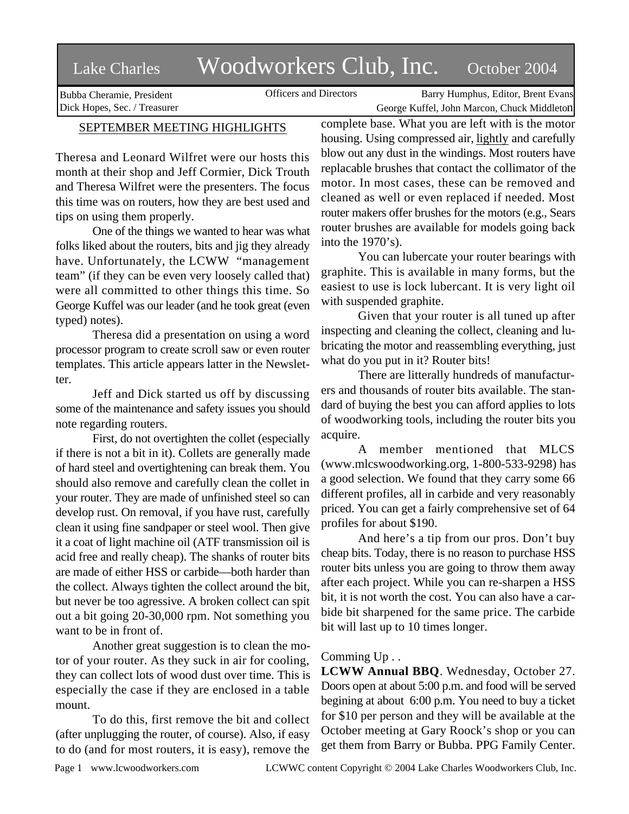# Lake Charles Woodworkers Club, Inc. October 2004

Bubba Cheramie, President Dick Hopes, Sec. / Treasurer

Officers and Directors Barry Humphus, Editor, Brent Evans George Kuffel, John Marcon, Chuck Middleton

## SEPTEMBER MEETING HIGHLIGHTS

Theresa and Leonard Wilfret were our hosts this month at their shop and Jeff Cormier, Dick Trouth and Theresa Wilfret were the presenters. The focus this time was on routers, how they are best used and tips on using them properly.

One of the things we wanted to hear was what folks liked about the routers, bits and jig they already have. Unfortunately, the LCWW "management team" (if they can be even very loosely called that) were all committed to other things this time. So George Kuffel was our leader (and he took great (even typed) notes).

Theresa did a presentation on using a word processor program to create scroll saw or even router templates. This article appears latter in the Newsletter.

Jeff and Dick started us off by discussing some of the maintenance and safety issues you should note regarding routers.

First, do not overtighten the collet (especially if there is not a bit in it). Collets are generally made of hard steel and overtightening can break them. You should also remove and carefully clean the collet in your router. They are made of unfinished steel so can develop rust. On removal, if you have rust, carefully clean it using fine sandpaper or steel wool. Then give it a coat of light machine oil (ATF transmission oil is acid free and really cheap). The shanks of router bits are made of either HSS or carbide—both harder than the collect. Always tighten the collect around the bit, but never be too agressive. A broken collect can spit out a bit going 20-30,000 rpm. Not something you want to be in front of.

Another great suggestion is to clean the motor of your router. As they suck in air for cooling, they can collect lots of wood dust over time. This is especially the case if they are enclosed in a table mount.

To do this, first remove the bit and collect (after unplugging the router, of course). Also, if easy to do (and for most routers, it is easy), remove the complete base. What you are left with is the motor housing. Using compressed air, lightly and carefully blow out any dust in the windings. Most routers have replacable brushes that contact the collimator of the motor. In most cases, these can be removed and cleaned as well or even replaced if needed. Most router makers offer brushes for the motors (e.g., Sears router brushes are available for models going back into the 1970's).

You can lubercate your router bearings with graphite. This is available in many forms, but the easiest to use is lock lubercant. It is very light oil with suspended graphite.

Given that your router is all tuned up after inspecting and cleaning the collect, cleaning and lubricating the motor and reassembling everything, just what do you put in it? Router bits!

There are litterally hundreds of manufacturers and thousands of router bits available. The standard of buying the best you can afford applies to lots of woodworking tools, including the router bits you acquire.

A member mentioned that MLCS (www.mlcswoodworking.org, 1-800-533-9298) has a good selection. We found that they carry some 66 different profiles, all in carbide and very reasonably priced. You can get a fairly comprehensive set of 64 profiles for about \$190.

And here's a tip from our pros. Don't buy cheap bits. Today, there is no reason to purchase HSS router bits unless you are going to throw them away after each project. While you can re-sharpen a HSS bit, it is not worth the cost. You can also have a carbide bit sharpened for the same price. The carbide bit will last up to 10 times longer.

## Comming Up . .

**LCWW Annual BBQ**. Wednesday, October 27. Doors open at about 5:00 p.m. and food will be served begining at about 6:00 p.m. You need to buy a ticket for \$10 per person and they will be available at the October meeting at Gary Roock's shop or you can get them from Barry or Bubba. PPG Family Center.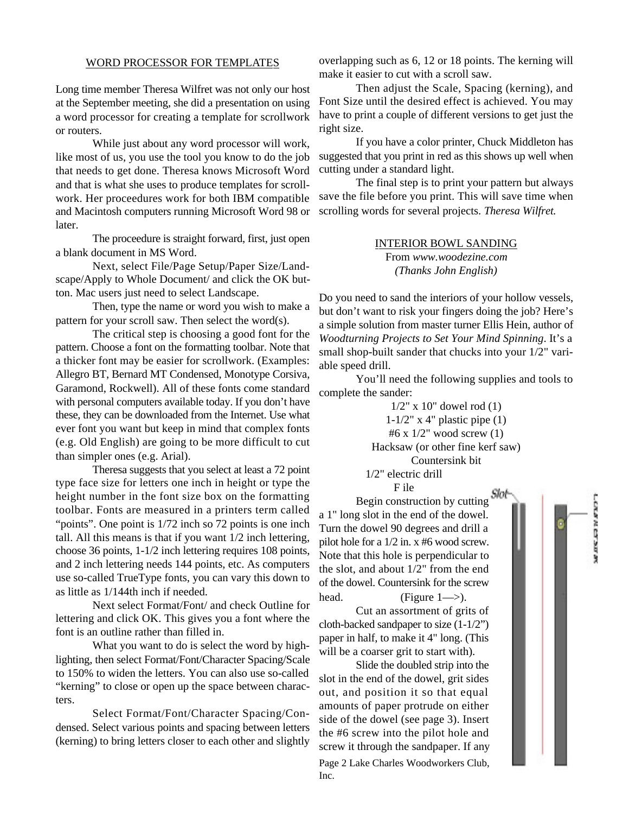### WORD PROCESSOR FOR TEMPLATES

Long time member Theresa Wilfret was not only our host at the September meeting, she did a presentation on using a word processor for creating a template for scrollwork or routers.

While just about any word processor will work, like most of us, you use the tool you know to do the job that needs to get done. Theresa knows Microsoft Word and that is what she uses to produce templates for scrollwork. Her proceedures work for both IBM compatible and Macintosh computers running Microsoft Word 98 or later.

The proceedure is straight forward, first, just open a blank document in MS Word.

Next, select File/Page Setup/Paper Size/Landscape/Apply to Whole Document/ and click the OK button. Mac users just need to select Landscape.

Then, type the name or word you wish to make a pattern for your scroll saw. Then select the word(s).

The critical step is choosing a good font for the pattern. Choose a font on the formatting toolbar. Note that a thicker font may be easier for scrollwork. (Examples: Allegro BT, Bernard MT Condensed, Monotype Corsiva, Garamond, Rockwell). All of these fonts come standard with personal computers available today. If you don't have these, they can be downloaded from the Internet. Use what ever font you want but keep in mind that complex fonts (e.g. Old English) are going to be more difficult to cut than simpler ones (e.g. Arial).

Theresa suggests that you select at least a 72 point type face size for letters one inch in height or type the height number in the font size box on the formatting toolbar. Fonts are measured in a printers term called "points". One point is  $1/72$  inch so 72 points is one inch tall. All this means is that if you want 1/2 inch lettering, choose 36 points, 1-1/2 inch lettering requires 108 points, and 2 inch lettering needs 144 points, etc. As computers use so-called TrueType fonts, you can vary this down to as little as 1/144th inch if needed.

Next select Format/Font/ and check Outline for lettering and click OK. This gives you a font where the font is an outline rather than filled in.

What you want to do is select the word by highlighting, then select Format/Font/Character Spacing/Scale to 150% to widen the letters. You can also use so-called "kerning" to close or open up the space between characters.

Select Format/Font/Character Spacing/Condensed. Select various points and spacing between letters (kerning) to bring letters closer to each other and slightly overlapping such as 6, 12 or 18 points. The kerning will make it easier to cut with a scroll saw.

Then adjust the Scale, Spacing (kerning), and Font Size until the desired effect is achieved. You may have to print a couple of different versions to get just the right size.

If you have a color printer, Chuck Middleton has suggested that you print in red as this shows up well when cutting under a standard light.

The final step is to print your pattern but always save the file before you print. This will save time when scrolling words for several projects. *Theresa Wilfret.*

> INTERIOR BOWL SANDING From *www.woodezine.com (Thanks John English)*

Do you need to sand the interiors of your hollow vessels, but don't want to risk your fingers doing the job? Here's a simple solution from master turner Ellis Hein, author of *Woodturning Projects to Set Your Mind Spinning*. It's a small shop-built sander that chucks into your 1/2" variable speed drill.

You'll need the following supplies and tools to complete the sander:

> $1/2$ " x 10" dowel rod (1)  $1-1/2$ " x 4" plastic pipe  $(1)$ #6 x 1/2" wood screw (1) Hacksaw (or other fine kerf saw) Countersink bit 1/2" electric drill F ile

> > 计空间输出 化气候过程

Begin construction by cutting Slot a 1" long slot in the end of the dowel. Turn the dowel 90 degrees and drill a pilot hole for a 1/2 in. x #6 wood screw. Note that this hole is perpendicular to the slot, and about 1/2" from the end of the dowel. Countersink for the screw head. (Figure  $1 \rightarrow$ ).

Cut an assortment of grits of cloth-backed sandpaper to size (1-1/2") paper in half, to make it 4" long. (This will be a coarser grit to start with).

Slide the doubled strip into the slot in the end of the dowel, grit sides out, and position it so that equal amounts of paper protrude on either side of the dowel (see page 3). Insert the #6 screw into the pilot hole and screw it through the sandpaper. If any

Page 2 Lake Charles Woodworkers Club, Inc.